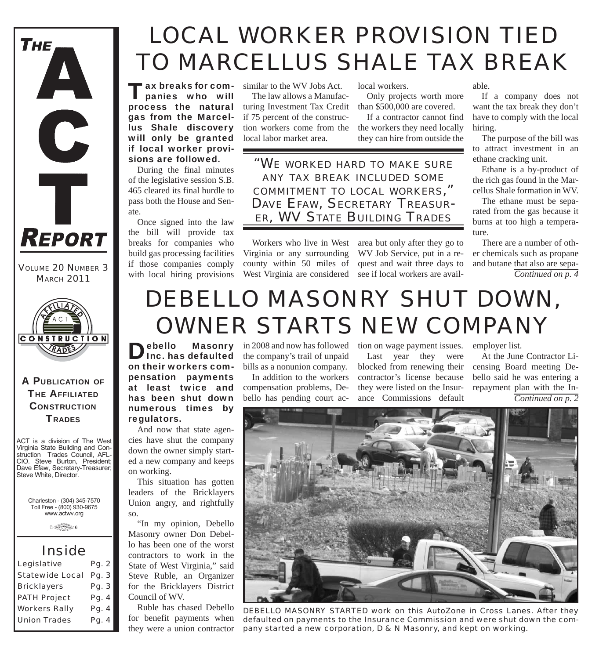

*VOLUME 20 NUMBER 3 MARCH 2011*



### A PUBLICATION OF **THE AFFILIATED CONSTRUCTION TRADES**

ACT is a division of The West Virginia State Building and Construction Trades Council, AFL-CIO. Steve Burton, President; Dave Efaw, Secretary-Treasurer; Steve White, Director.

Charleston - (304) 345-7570 Toll Free - (800) 930-9675 www.actwv.org

 $0$  Therefore you be  $6$ 

### *Inside*

| Legislative            | Pg. 2 |
|------------------------|-------|
| <b>Statewide Local</b> | Pg. 3 |
| <b>Bricklayers</b>     | Pg. 3 |
| <b>PATH Project</b>    | Pg. 4 |
| <b>Workers Rally</b>   | Pg. 4 |
| <b>Union Trades</b>    | Pg. 4 |

## *LOCAL WORKER PROVISION TIED TO MARCELLUS SHALE TAX BREAK*

Tax breaks for com-panies who will process the natural gas from the Marcellus Shale discovery will only be granted if local worker provisions are followed.

During the final minutes of the legislative session S.B. 465 cleared its final hurdle to pass both the House and Senate.

Once signed into the law the bill will provide tax breaks for companies who build gas processing facilities if those companies comply with local hiring provisions

similar to the WV Jobs Act. The law allows a Manufacturing Investment Tax Credit if 75 percent of the construction workers come from the

local labor market area.

local workers.

Only projects worth more than \$500,000 are covered.

If a contractor cannot find the workers they need locally they can hire from outside the

*"WE WORKED HARD TO MAKE SURE ANY TAX BREAK INCLUDED SOME COMMITMENT TO LOCAL WORKERS," DAVE EFAW, SECRETARY TREASUR-ER, WV STATE BUILDING TRADES*

Virginia or any surrounding county within 50 miles of

Workers who live in West area but only after they go to West Virginia are considered see if local workers are avail-WV Job Service, put in a request and wait three days to

able.

If a company does not want the tax break they don't have to comply with the local hiring.

The purpose of the bill was to attract investment in an ethane cracking unit.

Ethane is a by-product of the rich gas found in the Marcellus Shale formation in WV.

The ethane must be separated from the gas because it burns at too high a temperature.

*Continued on p. 4* There are a number of other chemicals such as propane and butane that also are sepa-

# *DEBELLO MASONRY SHUT DOWN, OWNER STARTS NEW COMPANY*

Debello Masonry<br>Inc. has defaulted on their workers compensation payments at least twice and has been shut down numerous times by regulators.

And now that state agencies have shut the company down the owner simply started a new company and keeps on working.

This situation has gotten leaders of the Bricklayers Union angry, and rightfully so.

"In my opinion, Debello Masonry owner Don Debello has been one of the worst contractors to work in the State of West Virginia," said Steve Ruble, an Organizer for the Bricklayers District Council of WV.

Ruble has chased Debello for benefit payments when they were a union contractor

in 2008 and now has followed the company's trail of unpaid bills as a nonunion company.

In addition to the workers compensation problems, Debello has pending court action on wage payment issues.

Last year they were blocked from renewing their contractor's license because they were listed on the Insurance Commissions default

employer list.

*Continued on p. 2* At the June Contractor Licensing Board meeting Debello said he was entering a repayment plan with the In-



*DEBELLO MASONRY STARTED work on this AutoZone in Cross Lanes. After they defaulted on payments to the Insurance Commission and were shut down the company started a new corporation, D & N Masonry, and kept on working.*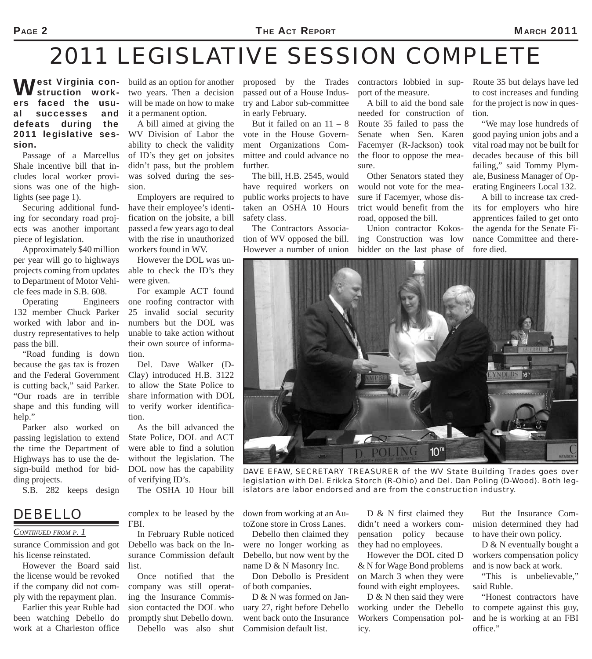## *2011 LEGISLATIVE SESSION COMPLETE*

#### **West Virginia con-**<br>ers faced the usustruction workfaced the usual successes and defeats during the 2011 legislative session.

Passage of a Marcellus Shale incentive bill that includes local worker provisions was one of the highlights (see page 1).

Securing additional funding for secondary road projects was another important piece of legislation.

Approximately \$40 million per year will go to highways projects coming from updates to Department of Motor Vehicle fees made in S.B. 608.

Operating Engineers 132 member Chuck Parker worked with labor and industry representatives to help pass the bill.

"Road funding is down because the gas tax is frozen and the Federal Government is cutting back," said Parker. "Our roads are in terrible shape and this funding will help."

Parker also worked on passing legislation to extend the time the Department of Highways has to use the design-build method for bidding projects.

S.B. 282 keeps design

### *DEBELLO*

#### *CONTINUED FROM P. 1*

surance Commission and got his license reinstated.

However the Board said the license would be revoked if the company did not comply with the repayment plan.

Earlier this year Ruble had been watching Debello do work at a Charleston office

build as an option for another two years. Then a decision will be made on how to make it a permanent option.

A bill aimed at giving the WV Division of Labor the ability to check the validity of ID's they get on jobsites didn't pass, but the problem was solved during the session.

Employers are required to have their employee's identification on the jobsite, a bill passed a few years ago to deal with the rise in unauthorized workers found in WV.

However the DOL was unable to check the ID's they were given.

For example ACT found one roofing contractor with 25 invalid social security numbers but the DOL was unable to take action without their own source of information.

Del. Dave Walker (D-Clay) introduced H.B. 3122 to allow the State Police to share information with DOL to verify worker identification.

As the bill advanced the State Police, DOL and ACT were able to find a solution without the legislation. The DOL now has the capability of verifying ID's.

The OSHA 10 Hour bill

complex to be leased by the FBI.

In February Ruble noticed Debello was back on the Insurance Commission default list.

Once notified that the company was still operating the Insurance Commission contacted the DOL who promptly shut Debello down. Debello was also shut proposed by the Trades passed out of a House Industry and Labor sub-committee in early February.

But it failed on an  $11 - 8$ vote in the House Government Organizations Committee and could advance no further.

The bill, H.B. 2545, would have required workers on public works projects to have taken an OSHA 10 Hours safety class.

The Contractors Association of WV opposed the bill. However a number of union

contractors lobbied in support of the measure.

A bill to aid the bond sale needed for construction of Route 35 failed to pass the Senate when Sen. Karen Facemyer (R-Jackson) took the floor to oppose the measure.

Other Senators stated they would not vote for the measure if Facemyer, whose district would benefit from the road, opposed the bill.

Union contractor Kokosing Construction was low bidder on the last phase of Route 35 but delays have led to cost increases and funding for the project is now in question.

"We may lose hundreds of good paying union jobs and a vital road may not be built for decades because of this bill failing," said Tommy Plymale, Business Manager of Operating Engineers Local 132.

A bill to increase tax credits for employers who hire apprentices failed to get onto the agenda for the Senate Finance Committee and therefore died.



*DAVE EFAW, SECRETARY TREASURER of the WV State Building Trades goes over legislation with Del. Erikka Storch (R-Ohio) and Del. Dan Poling (D-Wood). Both legislators are labor endorsed and are from the construction industry.*

down from working at an AutoZone store in Cross Lanes.

Debello then claimed they were no longer working as Debello, but now went by the name D & N Masonry Inc.

Don Debollo is President of both companies.

D & N was formed on January 27, right before Debello went back onto the Insurance Commision default list.

D & N first claimed they didn't need a workers compensation policy because they had no employees.

However the DOL cited D & N for Wage Bond problems on March 3 when they were found with eight employees.

D & N then said they were working under the Debello Workers Compensation policy.

But the Insurance Commision determined they had to have their own policy.

D & N eventually bought a workers compensation policy and is now back at work.

"This is unbelievable," said Ruble.

"Honest contractors have to compete against this guy, and he is working at an FBI office."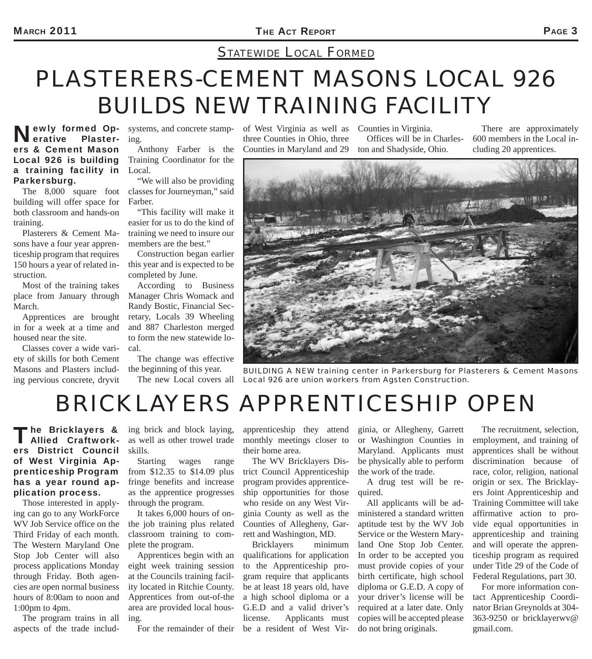### *STATEWIDE LOCAL FORMED*

## *PLASTERERS-CEMENT MASONS LOCAL 926 BUILDS NEW TRAINING FACILITY*

#### **Newly formed Op**erative Plasterers & Cement Mason Local 926 is building a training facility in Parkersburg.

The 8,000 square foot building will offer space for both classroom and hands-on training.

Plasterers & Cement Masons have a four year apprenticeship program that requires 150 hours a year of related instruction.

Most of the training takes place from January through March.

Apprentices are brought in for a week at a time and housed near the site.

Classes cover a wide variety of skills for both Cement Masons and Plasters including pervious concrete, dryvit

systems, and concrete stamping.

Anthony Farber is the Training Coordinator for the Local.

"We will also be providing classes for Journeyman," said Farber.

"This facility will make it easier for us to do the kind of training we need to insure our members are the best."

Construction began earlier this year and is expected to be completed by June.

According to Business Manager Chris Womack and Randy Bostic, Financial Secretary, Locals 39 Wheeling and 887 Charleston merged to form the new statewide local.

The change was effective the beginning of this year. The new Local covers all of West Virginia as well as three Counties in Ohio, three Counties in Maryland and 29

Counties in Virginia. Offices will be in Charleston and Shadyside, Ohio.

There are approximately 600 members in the Local including 20 apprentices.



*BUILDING A NEW training center in Parkersburg for Plasterers & Cement Masons Local 926 are union workers from Agsten Construction.*

### *BRICKLAYERS APPRENTICESHIP OPEN*

#### The Bricklayers & ing brick and block laying,<br> **Allied Craftwork**- as well as other trowel trade Allied Craftworkers District Council of West Virginia Apprenticeship Program has a year round application process.

Those interested in applying can go to any WorkForce WV Job Service office on the Third Friday of each month. The Western Maryland One Stop Job Center will also process applications Monday through Friday. Both agencies are open normal business hours of 8:00am to noon and 1:00pm to 4pm.

The program trains in all aspects of the trade includ-

as well as other trowel trade skills.

Starting wages range from \$12.35 to \$14.09 plus fringe benefits and increase as the apprentice progresses through the program.

It takes 6,000 hours of onthe job training plus related classroom training to complete the program.

Apprentices begin with an eight week training session at the Councils training facility located in Ritchie County. Apprentices from out-of-the area are provided local housing.

apprenticeship they attend monthly meetings closer to their home area.

The WV Bricklayers District Council Apprenticeship program provides apprenticeship opportunities for those who reside on any West Virginia County as well as the Counties of Allegheny, Garrett and Washington, MD.

For the remainder of their be a resident of West Vir-Bricklayers minimum qualifications for application to the Apprenticeship program require that applicants be at least 18 years old, have a high school diploma or a G.E.D and a valid driver's license. Applicants must ginia, or Allegheny, Garrett or Washington Counties in Maryland. Applicants must be physically able to perform the work of the trade.

A drug test will be required.

All applicants will be administered a standard written aptitude test by the WV Job Service or the Western Maryland One Stop Job Center. In order to be accepted you must provide copies of your birth certificate, high school diploma or G.E.D. A copy of your driver's license will be required at a later date. Only copies will be accepted please do not bring originals.

The recruitment, selection, employment, and training of apprentices shall be without discrimination because of race, color, religion, national origin or sex. The Bricklayers Joint Apprenticeship and Training Committee will take affirmative action to provide equal opportunities in apprenticeship and training and will operate the apprenticeship program as required under Title 29 of the Code of Federal Regulations, part 30.

For more information contact Apprenticeship Coordinator Brian Greynolds at 304- 363-9250 or bricklayerwv@ gmail.com.